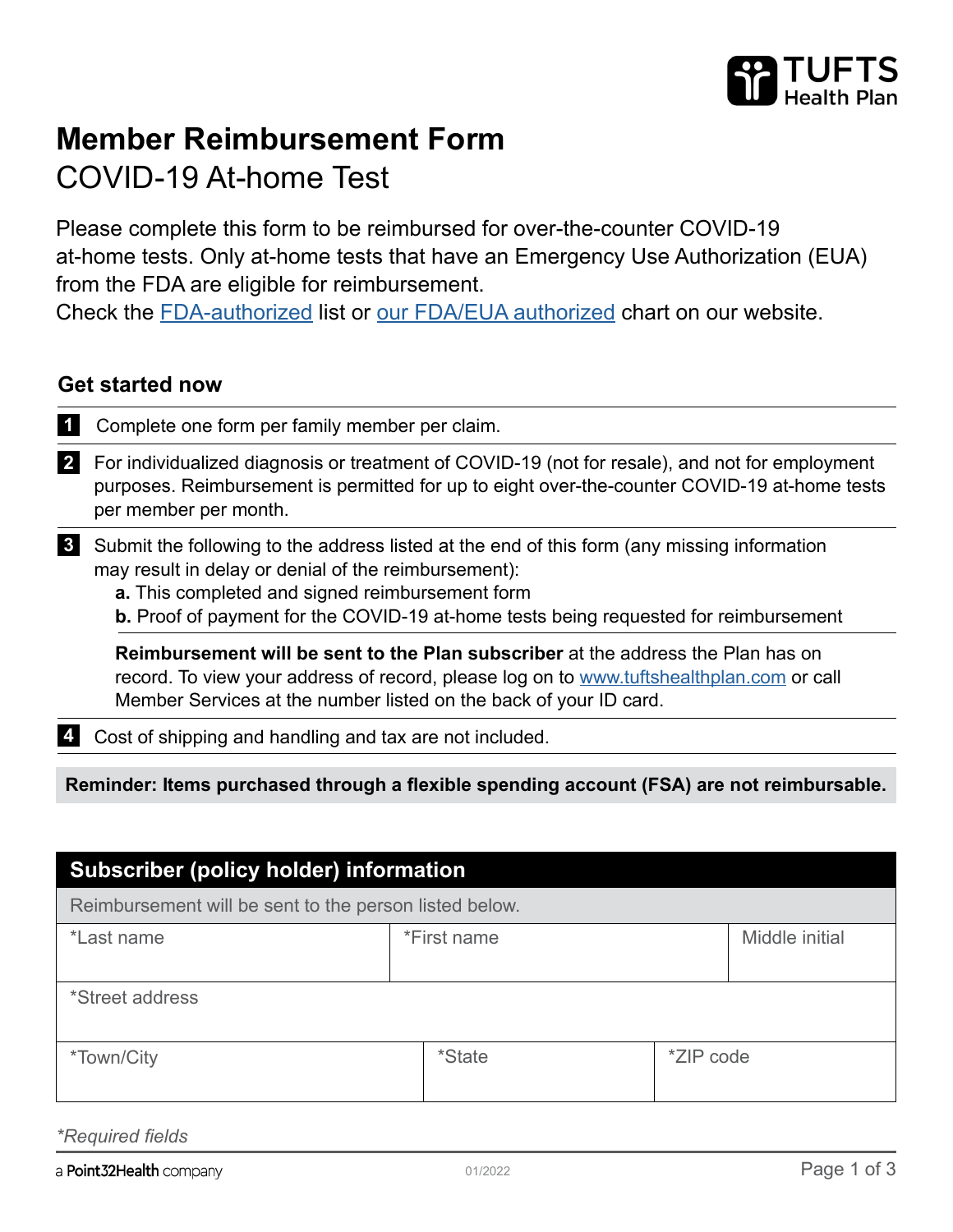

# **Member Reimbursement Form**  COVID-19 At-home Test

Please complete this form to be reimbursed for over-the-counter COVID-19 at-home tests. Only at-home tests that have an Emergency Use Authorization (EUA) from the FDA are eligible for reimbursement.

Check the [FDA-authorized](https://www.fda.gov/medical-devices/coronavirus-disease-2019-covid-19-emergency-use-authorizations-medical-devices/in-vitro-diagnostics-euas-antigen-diagnostic-tests-sars-cov-2) list or [our FDA/EUA authorized](https://tuftshealthplan.com/covid-19/member/approved-home-tests) chart on our website.

#### **Get started now**

**1** Complete one form per family member per claim.

**2** For individualized diagnosis or treatment of COVID-19 (not for resale), and not for employment purposes. Reimbursement is permitted for up to eight over-the-counter COVID-19 at-home tests per member per month.

**3** Submit the following to the address listed at the end of this form (any missing information may result in delay or denial of the reimbursement):

**a.** This completed and signed reimbursement form

**b.** Proof of payment for the COVID-19 at-home tests being requested for reimbursement

**Reimbursement will be sent to the Plan subscriber** at the address the Plan has on record. To view your address of record, please log on to [www.tuftshealthplan.com](http://www.tuftshealthplan.com) or call Member Services at the number listed on the back of your ID card.

**4** Cost of shipping and handling and tax are not included.

**Reminder: Items purchased through a flexible spending account (FSA) are not reimbursable.**

| <b>Subscriber (policy holder) information</b>          |               |                |  |  |
|--------------------------------------------------------|---------------|----------------|--|--|
| Reimbursement will be sent to the person listed below. |               |                |  |  |
| *Last name                                             | *First name   | Middle initial |  |  |
| *Street address                                        |               |                |  |  |
| <i>*Town/City</i>                                      | <i>*State</i> | *ZIP code      |  |  |

*\*Required fields*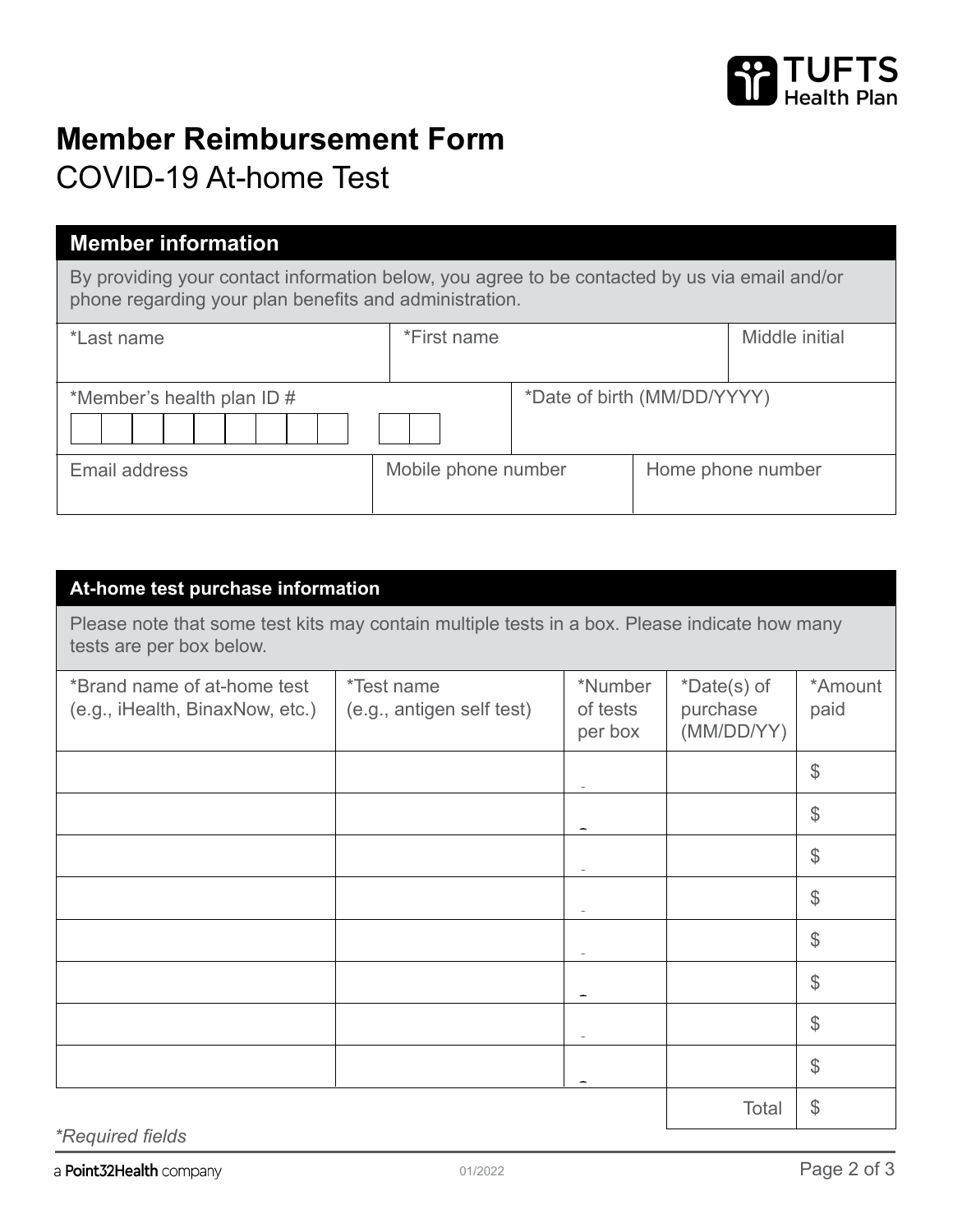

# **Member Reimbursement Form**

### COVID-19 At-home Test

### **Member information**

By providing your contact information below, you agree to be contacted by us via email and/or phone regarding your plan benefits and administration.

| *Last name                                                | *First name         |  | Middle initial    |
|-----------------------------------------------------------|---------------------|--|-------------------|
| *Date of birth (MM/DD/YYYY)<br>*Member's health plan ID # |                     |  |                   |
| Email address                                             | Mobile phone number |  | Home phone number |

| At-home test purchase information                                                                                         |                                                |                                |                                       |                 |
|---------------------------------------------------------------------------------------------------------------------------|------------------------------------------------|--------------------------------|---------------------------------------|-----------------|
| Please note that some test kits may contain multiple tests in a box. Please indicate how many<br>tests are per box below. |                                                |                                |                                       |                 |
| *Brand name of at-home test<br>(e.g., iHealth, BinaxNow, etc.)                                                            | <i>*Test name</i><br>(e.g., antigen self test) | *Number<br>of tests<br>per box | *Date(s) of<br>purchase<br>(MM/DD/YY) | *Amount<br>paid |
|                                                                                                                           |                                                |                                |                                       | $\frac{1}{2}$   |
|                                                                                                                           |                                                |                                |                                       | $\mathcal{L}$   |
|                                                                                                                           |                                                |                                |                                       | $\mathcal{L}$   |
|                                                                                                                           |                                                |                                |                                       | \$              |
|                                                                                                                           |                                                |                                |                                       | \$              |
|                                                                                                                           |                                                |                                |                                       | $\mathcal{L}$   |
|                                                                                                                           |                                                |                                |                                       | $\mathcal{L}$   |
|                                                                                                                           |                                                |                                |                                       | \$              |
|                                                                                                                           |                                                |                                | Total                                 | \$              |

*\*Required fields*